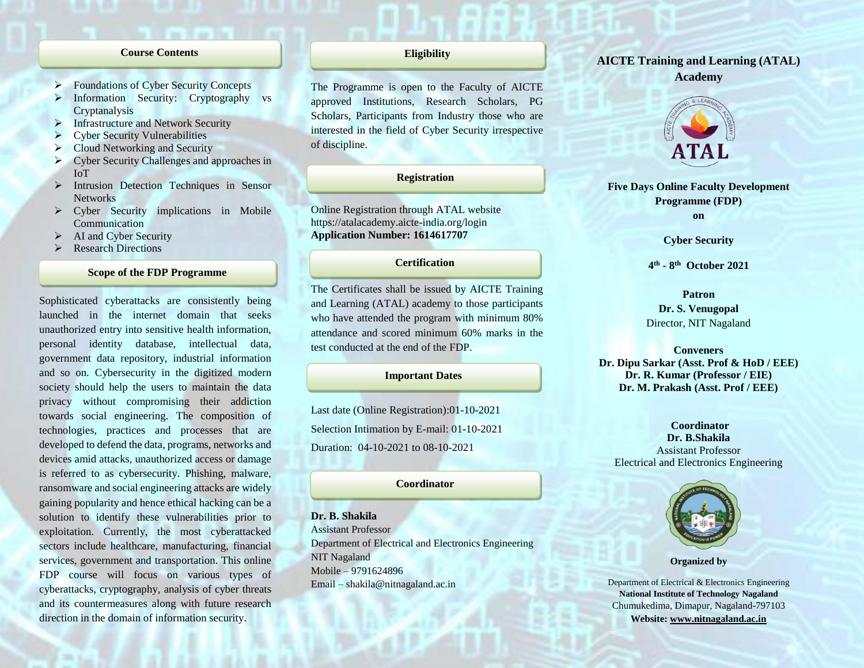## **Course Contents**

- Foundations of Cyber Security Concepts
- Information Security: Cryptography vs Cryptanalysis
- Infrastructure and Network Security
- Cyber Security Vulnerabilities
- ▶ Cloud Networking and Security
- Cyber Security Challenges and approaches in IoT
- > Intrusion Detection Techniques in Sensor **Networks**
- Cyber Security implications in Mobile Communication
- $\triangleright$  AI and Cyber Security
- Research Directions

## **Scope of the FDP Programme**

Sophisticated cyberattacks are consistently being launched in the internet domain that seeks unauthorized entry into sensitive health information, personal identity database, intellectual data, government data repository, industrial information and so on. Cybersecurity in the digitized modern society should help the users to maintain the data privacy without compromising their addiction towards social engineering. The composition of technologies, practices and processes that are developed to defend the data, programs, networks and devices amid attacks, unauthorized access or damage is referred to as cybersecurity. Phishing, malware, ransomware and social engineering attacks are widely gaining popularity and hence ethical hacking can be a solution to identify these vulnerabilities prior to exploitation. Currently, the most cyberattacked sectors include healthcare, manufacturing, financial services, government and transportation. This online FDP course will focus on various types of cyberattacks, cryptography, analysis of cyber threats and its countermeasures along with future research direction in the domain of information security.

## **Eligibility**

The Programme is open to the Faculty of AICTE approved Institutions, Research Scholars, PG Scholars, Participants from Industry those who are interested in the field of Cyber Security irrespective of discipline.

## **Registration**

Online Registration through ATAL website https://atalacademy.aicte-india.org/login **Application Number: 1614617707**

# **Certification**

The Certificates shall be issued by AICTE Training and Learning (ATAL) academy to those participants who have attended the program with minimum 80% attendance and scored minimum 60% marks in the test conducted at the end of the FDP.

## **Important Dates**

Last date (Online Registration):01-10-2021 Selection Intimation by E-mail: 01-10-2021 Duration: 04-10-2021 to 08-10-2021

## **Coordinator**

**Dr. B. Shakila** Assistant Professor Department of Electrical and Electronics Engineering NIT Nagaland Mobile – 9791624896 Email – shakila@nitnagaland.ac.in

# **AICTE Training and Learning (ATAL) Academy**



**Five Days Online Faculty Development Programme (FDP) on**

**Cyber Security**

**4 th - 8 th October 2021**

**Patron Dr. S. Venugopal** Director, NIT Nagaland

**Conveners Dr. Dipu Sarkar (Asst. Prof & HoD / EEE) Dr. R. Kumar (Professor / EIE) Dr. M. Prakash (Asst. Prof / EEE)**

**Coordinator Dr. B.Shakila** Assistant Professor Electrical and Electronics Engineering



**Organized by**

Department of Electrical & Electronics Engineering **National Institute of Technology Nagaland** Chumukedima, Dimapur, Nagaland-797103 **Website: [www.nitnagaland.ac.in](http://www.nitnagaland.ac.in/)**